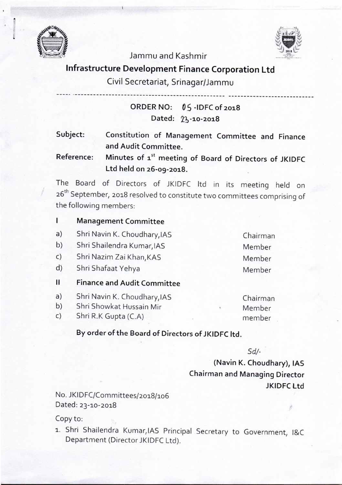

I II



### **Jammu and Kashmir**

## **Infrastructure Development Finance Corporation Ltd**

## **Civil Secretariat, Srinagar/Jammu**

**----- .\_------------------------------------------------ ----------------------------** 

**ORDER NO:** *0* **S -IDFC of 2018**  Dated: 23-10-2018

**Subject: Constitution of Management Committee and Finance and Audit Committee.** 

**Reference: Minutes of** a" **meeting of Board of Directors of JKIDFC Ltd held on 26-09-2018.** 

The Board of Directors of JKIDFC ltd in its meeting held on 26<sup>th</sup> September, 2018 resolved to constitute two committees comprising of the following members:

- $\mathbf{I}$ **Management Committee**
- Shri Navin K. Choudhary,lAS a)
- Shri Shailendra Kumar,lAS b)
- Shri Nazim Zai Khan, KAS c)
- Shri Shafaat Yehya d)
- **II Finance and Audit Committee**
- a) Shri Navin K. Choudhary,lAS
- b) Shri Showkat Hussain Mir
- c) Shri R.K Gupta (C.A)

Chairman Member member

Chairman Member

Member Member

# **By order of the Board of Directors of JKIDFC ltd.**

*Sd/-* 

**(Navin K. Chaudhary), lAS Chairman and Managing Director JKIDFC Ltd** 

No. JKIDFC/Committees/2018/106 Dated: 23-10-2018

#### Copy to:

1.. Shri Shailendra Kumar,lAS Principal Secretary to Government, I&C Department (Director JKIDFC Ltd).